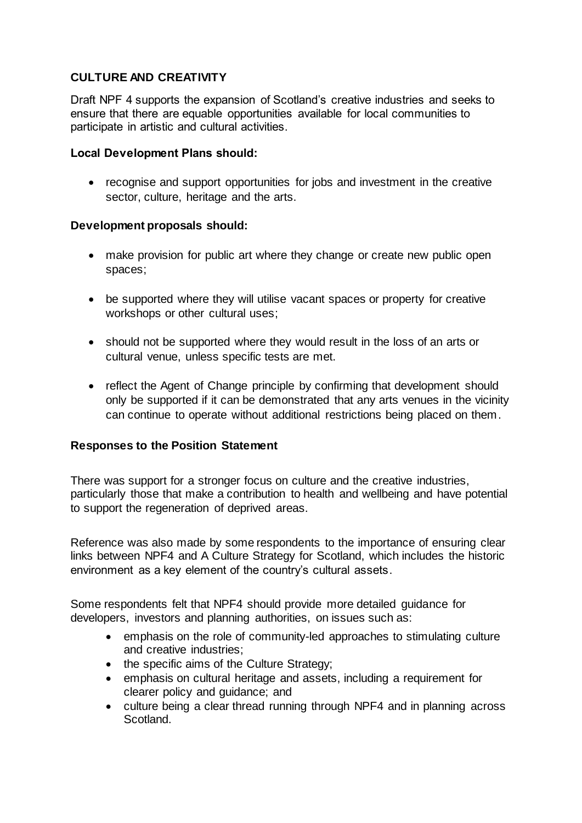# **CULTURE AND CREATIVITY**

Draft NPF 4 supports the expansion of Scotland's creative industries and seeks to ensure that there are equable opportunities available for local communities to participate in artistic and cultural activities.

### **Local Development Plans should:**

• recognise and support opportunities for jobs and investment in the creative sector, culture, heritage and the arts.

### **Development proposals should:**

- make provision for public art where they change or create new public open spaces;
- be supported where they will utilise vacant spaces or property for creative workshops or other cultural uses;
- should not be supported where they would result in the loss of an arts or cultural venue, unless specific tests are met.
- reflect the Agent of Change principle by confirming that development should only be supported if it can be demonstrated that any arts venues in the vicinity can continue to operate without additional restrictions being placed on them.

#### **Responses to the Position Statement**

There was support for a stronger focus on culture and the creative industries, particularly those that make a contribution to health and wellbeing and have potential to support the regeneration of deprived areas.

Reference was also made by some respondents to the importance of ensuring clear links between NPF4 and A Culture Strategy for Scotland, which includes the historic environment as a key element of the country's cultural assets.

Some respondents felt that NPF4 should provide more detailed guidance for developers, investors and planning authorities, on issues such as:

- emphasis on the role of community-led approaches to stimulating culture and creative industries;
- the specific aims of the Culture Strategy;
- emphasis on cultural heritage and assets, including a requirement for clearer policy and guidance; and
- culture being a clear thread running through NPF4 and in planning across Scotland.